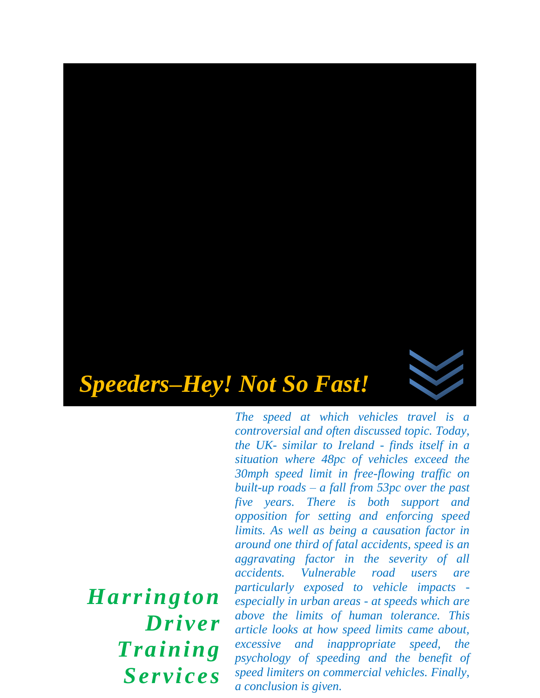

*The speed at which vehicles travel is a controversial and often discussed topic. Today, the UK- similar to Ireland - finds itself in a situation where 48pc of vehicles exceed the 30mph speed limit in free-flowing traffic on built-up roads – a fall from 53pc over the past five years. There is both support and opposition for setting and enforcing speed limits. As well as being a causation factor in around one third of fatal accidents, speed is an aggravating factor in the severity of all accidents. Vulnerable road users are particularly exposed to vehicle impacts especially in urban areas - at speeds which are above the limits of human tolerance. This article looks at how speed limits came about, excessive and inappropriate speed, the psychology of speeding and the benefit of speed limiters on commercial vehicles. Finally, a conclusion is given.* 

*Harrington Driver Training Services*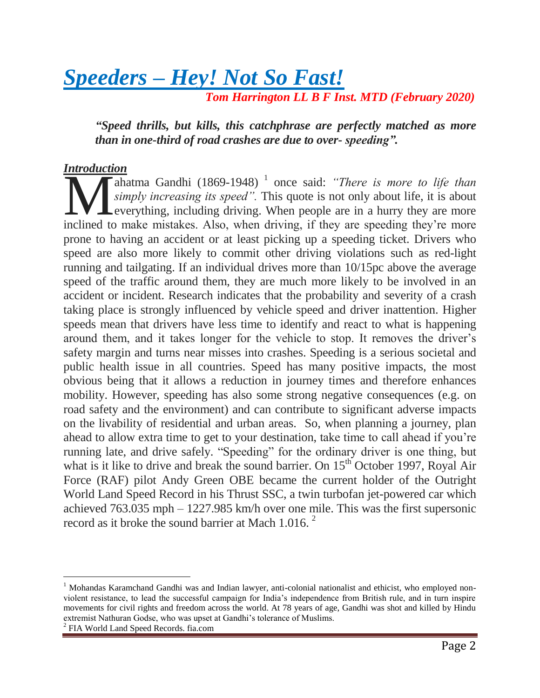*Speeders – Hey! Not So Fast! Tom Harrington LL B F Inst. MTD (February 2020)*

*"Speed thrills, but kills, this catchphrase are perfectly matched as more* 

*than in one-third of road crashes are due to over- speeding".* 

#### *Introduction*

ahatma Gandhi (1869-1948)<sup>1</sup> once said: *"There is more to life than simply increasing its speed".* This quote is not only about life, it is about Leverything, including driving. When people are in a hurry they are more **included to make mistakes** (1869-1948)<sup>1</sup> once said: "There is more to life than simply increasing its speed". This quote is not only about life, it is about everything, including driving. When people are in a hurry they prone to having an accident or at least picking up a speeding ticket. Drivers who speed are also more likely to commit other driving violations such as red-light running and tailgating. If an individual drives more than 10/15pc above the average speed of the traffic around them, they are much more likely to be involved in an accident or incident. Research indicates that the probability and severity of a crash taking place is strongly influenced by vehicle speed and driver inattention. Higher speeds mean that drivers have less time to identify and react to what is happening around them, and it takes longer for the vehicle to stop. It removes the driver's safety margin and turns near misses into crashes. Speeding is a serious societal and public health issue in all countries. Speed has many positive impacts, the most obvious being that it allows a reduction in journey times and therefore enhances mobility. However, speeding has also some strong negative consequences (e.g. on road safety and the environment) and can contribute to significant adverse impacts on the livability of residential and urban areas. So, when planning a journey, plan ahead to allow extra time to get to your destination, take time to call ahead if you're running late, and drive safely. "Speeding" for the ordinary driver is one thing, but what is it like to drive and break the sound barrier. On  $15<sup>th</sup>$  October 1997, Royal Air Force (RAF) pilot Andy Green OBE became the current holder of the Outright World Land Speed Record in his Thrust SSC, a twin turbofan jet-powered car which achieved 763.035 mph – 1227.985 km/h over one mile. This was the first supersonic record as it broke the sound barrier at Mach 1.016.  $2^{\circ}$ 

2 FIA World Land Speed Records. fia.com

 $\overline{a}$ 

<sup>&</sup>lt;sup>1</sup> Mohandas Karamchand Gandhi was and Indian lawyer, anti-colonial nationalist and ethicist, who employed nonviolent resistance, to lead the successful campaign for India's independence from British rule, and in turn inspire movements for civil rights and freedom across the world. At 78 years of age, Gandhi was shot and killed by Hindu extremist Nathuran Godse, who was upset at Gandhi's tolerance of Muslims.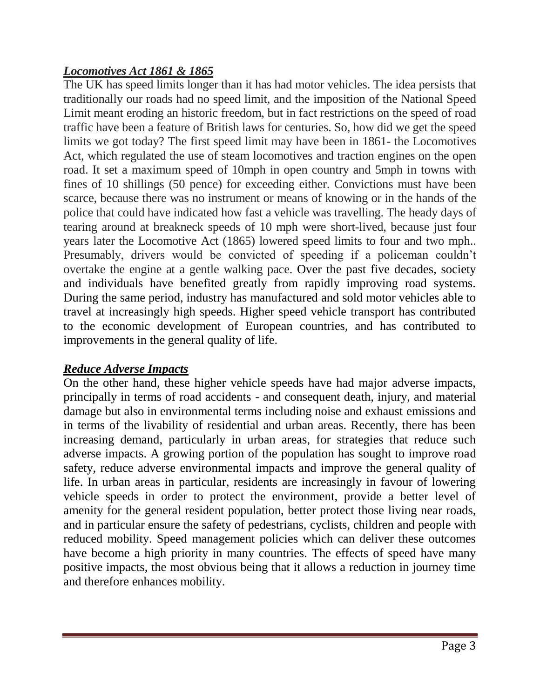# *Locomotives Act 1861 & 1865*

The UK has speed limits longer than it has had motor vehicles. The idea persists that traditionally our roads had no speed limit, and the imposition of the National Speed Limit meant eroding an historic freedom, but in fact restrictions on the speed of road traffic have been a feature of British laws for centuries. So, how did we get the speed limits we got today? The first speed limit may have been in 1861- the Locomotives Act, which regulated the use of steam locomotives and traction engines on the open road. It set a maximum speed of 10mph in open country and 5mph in towns with fines of 10 shillings (50 pence) for exceeding either. Convictions must have been scarce, because there was no instrument or means of knowing or in the hands of the police that could have indicated how fast a vehicle was travelling. The heady days of tearing around at breakneck speeds of 10 mph were short-lived, because just four years later the Locomotive Act (1865) lowered speed limits to four and two mph.. Presumably, drivers would be convicted of speeding if a policeman couldn't overtake the engine at a gentle walking pace. Over the past five decades, society and individuals have benefited greatly from rapidly improving road systems. During the same period, industry has manufactured and sold motor vehicles able to travel at increasingly high speeds. Higher speed vehicle transport has contributed to the economic development of European countries, and has contributed to improvements in the general quality of life.

#### *Reduce Adverse Impacts*

On the other hand, these higher vehicle speeds have had major adverse impacts, principally in terms of road accidents - and consequent death, injury, and material damage but also in environmental terms including noise and exhaust emissions and in terms of the livability of residential and urban areas. Recently, there has been increasing demand, particularly in urban areas, for strategies that reduce such adverse impacts. A growing portion of the population has sought to improve road safety, reduce adverse environmental impacts and improve the general quality of life. In urban areas in particular, residents are increasingly in favour of lowering vehicle speeds in order to protect the environment, provide a better level of amenity for the general resident population, better protect those living near roads, and in particular ensure the safety of pedestrians, cyclists, children and people with reduced mobility. Speed management policies which can deliver these outcomes have become a high priority in many countries. The effects of speed have many positive impacts, the most obvious being that it allows a reduction in journey time and therefore enhances mobility.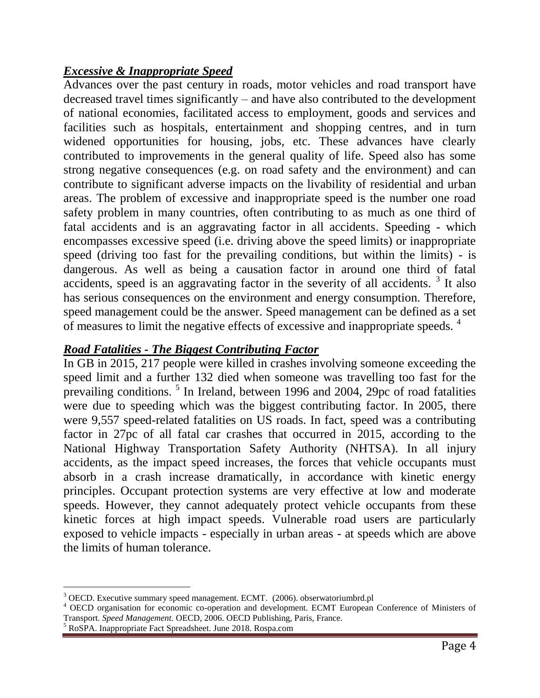## *Excessive & Inappropriate Speed*

Advances over the past century in roads, motor vehicles and road transport have decreased travel times significantly – and have also contributed to the development of national economies, facilitated access to employment, goods and services and facilities such as hospitals, entertainment and shopping centres, and in turn widened opportunities for housing, jobs, etc. These advances have clearly contributed to improvements in the general quality of life. Speed also has some strong negative consequences (e.g. on road safety and the environment) and can contribute to significant adverse impacts on the livability of residential and urban areas. The problem of excessive and inappropriate speed is the number one road safety problem in many countries, often contributing to as much as one third of fatal accidents and is an aggravating factor in all accidents. Speeding - which encompasses excessive speed (i.e. driving above the speed limits) or inappropriate speed (driving too fast for the prevailing conditions, but within the limits) - is dangerous. As well as being a causation factor in around one third of fatal accidents, speed is an aggravating factor in the severity of all accidents.  $3$  It also has serious consequences on the environment and energy consumption. Therefore, speed management could be the answer. Speed management can be defined as a set of measures to limit the negative effects of excessive and inappropriate speeds. <sup>4</sup>

## *Road Fatalities - The Biggest Contributing Factor*

In GB in 2015, 217 people were killed in crashes involving someone exceeding the speed limit and a further 132 died when someone was travelling too fast for the prevailing conditions.<sup>5</sup> In Ireland, between 1996 and 2004, 29pc of road fatalities were due to speeding which was the biggest contributing factor. In 2005, there were 9,557 speed-related fatalities on US roads. In fact, speed was a contributing factor in 27pc of all fatal car crashes that occurred in 2015, according to the National Highway Transportation Safety Authority (NHTSA). In all injury accidents, as the impact speed increases, the forces that vehicle occupants must absorb in a crash increase dramatically, in accordance with kinetic energy principles. Occupant protection systems are very effective at low and moderate speeds. However, they cannot adequately protect vehicle occupants from these kinetic forces at high impact speeds. Vulnerable road users are particularly exposed to vehicle impacts - especially in urban areas - at speeds which are above the limits of human tolerance.

l

 $3$  OECD. Executive summary speed management. ECMT. (2006). obserwatoriumbrd.pl

<sup>4</sup> OECD organisation for economic co-operation and development. ECMT European Conference of Ministers of Transport. *Speed Management.* OECD, 2006. OECD Publishing, Paris, France.

<sup>5</sup> RoSPA. Inappropriate Fact Spreadsheet. June 2018. Rospa.com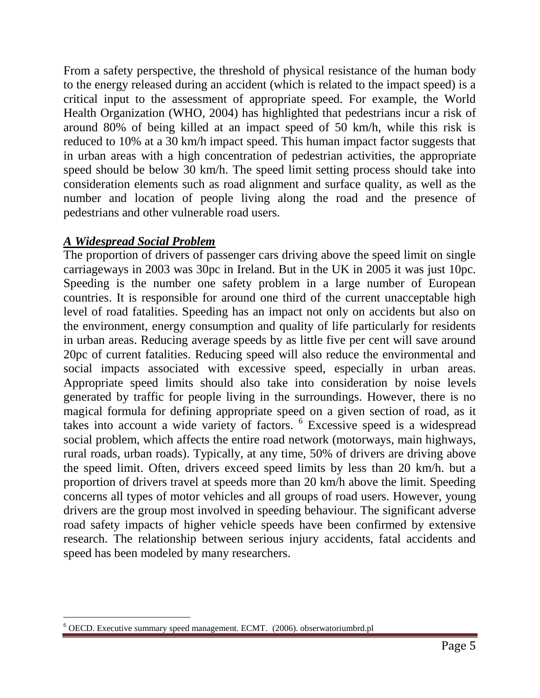From a safety perspective, the threshold of physical resistance of the human body to the energy released during an accident (which is related to the impact speed) is a critical input to the assessment of appropriate speed. For example, the World Health Organization (WHO, 2004) has highlighted that pedestrians incur a risk of around 80% of being killed at an impact speed of 50 km/h, while this risk is reduced to 10% at a 30 km/h impact speed. This human impact factor suggests that in urban areas with a high concentration of pedestrian activities, the appropriate speed should be below 30 km/h. The speed limit setting process should take into consideration elements such as road alignment and surface quality, as well as the number and location of people living along the road and the presence of pedestrians and other vulnerable road users.

# *A Widespread Social Problem*

l

The proportion of drivers of passenger cars driving above the speed limit on single carriageways in 2003 was 30pc in Ireland. But in the UK in 2005 it was just 10pc. Speeding is the number one safety problem in a large number of European countries. It is responsible for around one third of the current unacceptable high level of road fatalities. Speeding has an impact not only on accidents but also on the environment, energy consumption and quality of life particularly for residents in urban areas. Reducing average speeds by as little five per cent will save around 20pc of current fatalities. Reducing speed will also reduce the environmental and social impacts associated with excessive speed, especially in urban areas. Appropriate speed limits should also take into consideration by noise levels generated by traffic for people living in the surroundings. However, there is no magical formula for defining appropriate speed on a given section of road, as it takes into account a wide variety of factors. <sup>6</sup> Excessive speed is a widespread social problem, which affects the entire road network (motorways, main highways, rural roads, urban roads). Typically, at any time, 50% of drivers are driving above the speed limit. Often, drivers exceed speed limits by less than 20 km/h. but a proportion of drivers travel at speeds more than 20 km/h above the limit. Speeding concerns all types of motor vehicles and all groups of road users. However, young drivers are the group most involved in speeding behaviour. The significant adverse road safety impacts of higher vehicle speeds have been confirmed by extensive research. The relationship between serious injury accidents, fatal accidents and speed has been modeled by many researchers.

<sup>6</sup> OECD. Executive summary speed management. ECMT. (2006). obserwatoriumbrd.pl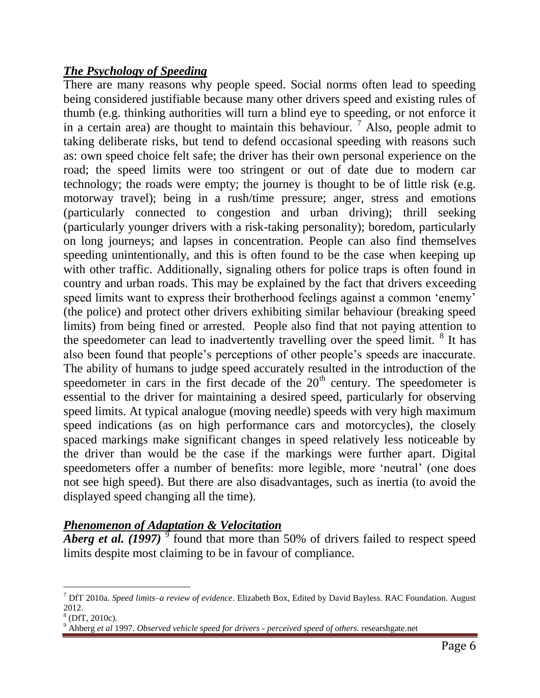## *The Psychology of Speeding*

There are many reasons why people speed. Social norms often lead to speeding being considered justifiable because many other drivers speed and existing rules of thumb (e.g. thinking authorities will turn a blind eye to speeding, or not enforce it in a certain area) are thought to maintain this behaviour.  $\frac{7}{1}$  Also, people admit to taking deliberate risks, but tend to defend occasional speeding with reasons such as: own speed choice felt safe; the driver has their own personal experience on the road; the speed limits were too stringent or out of date due to modern car technology; the roads were empty; the journey is thought to be of little risk (e.g. motorway travel); being in a rush/time pressure; anger, stress and emotions (particularly connected to congestion and urban driving); thrill seeking (particularly younger drivers with a risk-taking personality); boredom, particularly on long journeys; and lapses in concentration. People can also find themselves speeding unintentionally, and this is often found to be the case when keeping up with other traffic. Additionally, signaling others for police traps is often found in country and urban roads. This may be explained by the fact that drivers exceeding speed limits want to express their brotherhood feelings against a common 'enemy' (the police) and protect other drivers exhibiting similar behaviour (breaking speed limits) from being fined or arrested. People also find that not paying attention to the speedometer can lead to inadvertently travelling over the speed limit. <sup>8</sup> It has also been found that people's perceptions of other people's speeds are inaccurate. The ability of humans to judge speed accurately resulted in the introduction of the speedometer in cars in the first decade of the  $20<sup>th</sup>$  century. The speedometer is essential to the driver for maintaining a desired speed, particularly for observing speed limits. At typical analogue (moving needle) speeds with very high maximum speed indications (as on high performance cars and motorcycles), the closely spaced markings make significant changes in speed relatively less noticeable by the driver than would be the case if the markings were further apart. Digital speedometers offer a number of benefits: more legible, more 'neutral' (one does not see high speed). But there are also disadvantages, such as inertia (to avoid the displayed speed changing all the time).

#### *Phenomenon of Adaptation & Velocitation*

Aberg et al. (1997)<sup>9</sup> found that more than 50% of drivers failed to respect speed limits despite most claiming to be in favour of compliance.

l <sup>7</sup> DfT 2010a. *Speed limits–a review of evidence*. Elizabeth Box, Edited by David Bayless. RAC Foundation. August 2012.

 $<sup>8</sup>$  (DfT, 2010c).</sup>

<sup>9</sup> Ahberg *et al* 1997. *Observed vehicle speed for drivers - perceived speed of others.* researshgate.net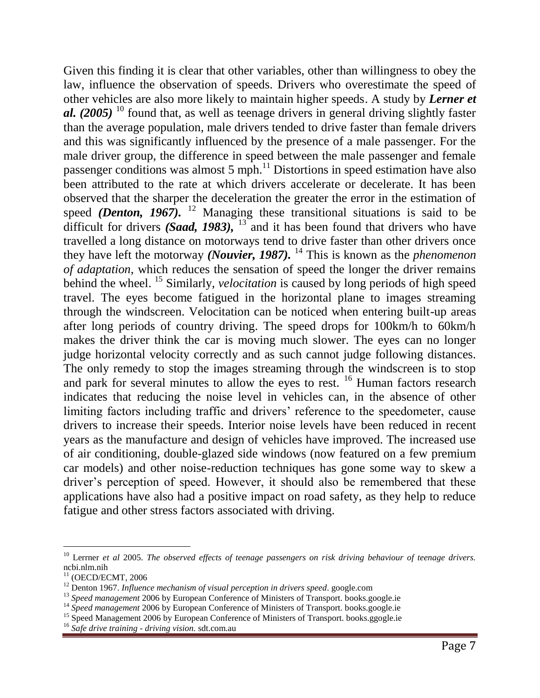Given this finding it is clear that other variables, other than willingness to obey the law, influence the observation of speeds. Drivers who overestimate the speed of other vehicles are also more likely to maintain higher speeds. A study by *Lerner et al. (2005)* <sup>10</sup> found that, as well as teenage drivers in general driving slightly faster than the average population, male drivers tended to drive faster than female drivers and this was significantly influenced by the presence of a male passenger. For the male driver group, the difference in speed between the male passenger and female passenger conditions was almost  $5 \text{ mph.}^{11}$  Distortions in speed estimation have also been attributed to the rate at which drivers accelerate or decelerate. It has been observed that the sharper the deceleration the greater the error in the estimation of speed *(Denton, 1967)*. <sup>12</sup> Managing these transitional situations is said to be difficult for drivers *(Saad, 1983)*, <sup>13</sup> and it has been found that drivers who have travelled a long distance on motorways tend to drive faster than other drivers once they have left the motorway *(Nouvier, 1987).* <sup>14</sup> This is known as the *phenomenon of adaptation*, which reduces the sensation of speed the longer the driver remains behind the wheel.<sup>15</sup> Similarly, *velocitation* is caused by long periods of high speed travel. The eyes become fatigued in the horizontal plane to images streaming through the windscreen. Velocitation can be noticed when entering built-up areas after long periods of country driving. The speed drops for 100km/h to 60km/h makes the driver think the car is moving much slower. The eyes can no longer judge horizontal velocity correctly and as such cannot judge following distances. The only remedy to stop the images streaming through the windscreen is to stop and park for several minutes to allow the eyes to rest. <sup>16</sup> Human factors research indicates that reducing the noise level in vehicles can, in the absence of other limiting factors including traffic and drivers' reference to the speedometer, cause drivers to increase their speeds. Interior noise levels have been reduced in recent years as the manufacture and design of vehicles have improved. The increased use of air conditioning, double-glazed side windows (now featured on a few premium car models) and other noise-reduction techniques has gone some way to skew a driver's perception of speed. However, it should also be remembered that these applications have also had a positive impact on road safety, as they help to reduce fatigue and other stress factors associated with driving.

l

<sup>10</sup> Lerrner *et al* 2005. *The observed effects of teenage passengers on risk driving behaviour of teenage drivers.* ncbi.nlm.nih

 $11$  (OECD/ECMT, 2006

<sup>&</sup>lt;sup>12</sup> Denton 1967. *Influence mechanism of visual perception in drivers speed.* google.com

<sup>&</sup>lt;sup>13</sup> Speed management 2006 by European Conference of Ministers of Transport. books.google.ie

<sup>&</sup>lt;sup>14</sup> Speed management 2006 by European Conference of Ministers of Transport. books.google.ie

<sup>&</sup>lt;sup>15</sup> Speed Management 2006 by European Conference of Ministers of Transport. books.ggogle.ie

<sup>16</sup> *Safe drive training - driving vision.* sdt.com.au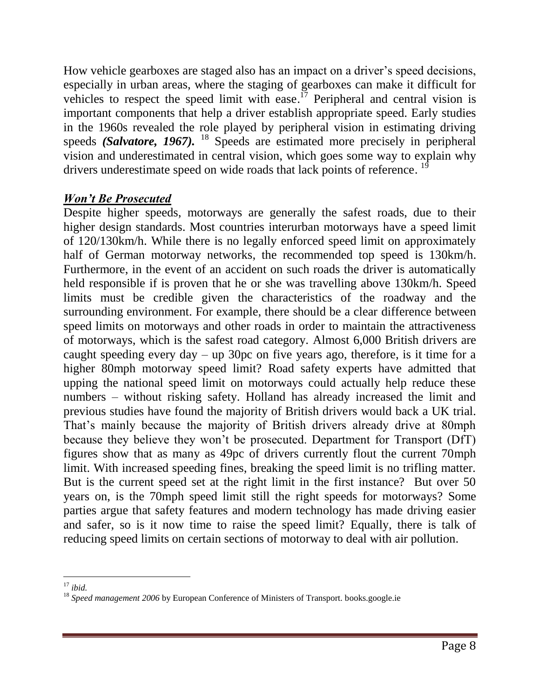How vehicle gearboxes are staged also has an impact on a driver's speed decisions, especially in urban areas, where the staging of gearboxes can make it difficult for vehicles to respect the speed limit with ease.<sup> $17$ </sup> Peripheral and central vision is important components that help a driver establish appropriate speed. Early studies in the 1960s revealed the role played by peripheral vision in estimating driving speeds *(Salvatore, 1967).* <sup>18</sup> Speeds are estimated more precisely in peripheral vision and underestimated in central vision, which goes some way to explain why drivers underestimate speed on wide roads that lack points of reference.<sup>19</sup>

# *Won't Be Prosecuted*

Despite higher speeds, motorways are generally the safest roads, due to their higher design standards. Most countries interurban motorways have a speed limit of 120/130km/h. While there is no legally enforced speed limit on approximately half of German motorway networks, the recommended top speed is 130km/h. Furthermore, in the event of an accident on such roads the driver is automatically held responsible if is proven that he or she was travelling above 130km/h. Speed limits must be credible given the characteristics of the roadway and the surrounding environment. For example, there should be a clear difference between speed limits on motorways and other roads in order to maintain the attractiveness of motorways, which is the safest road category. Almost 6,000 British drivers are caught speeding every day – up 30pc on five years ago, therefore, is it time for a higher 80mph motorway speed limit? Road safety experts have admitted that upping the national speed limit on motorways could actually help reduce these numbers – without risking safety. Holland has already increased the limit and previous studies have found the majority of British drivers would back a UK trial. That's mainly because the majority of British drivers already drive at 80mph because they believe they won't be prosecuted. Department for Transport (DfT) figures show that as many as 49pc of drivers currently flout the current 70mph limit. With increased speeding fines, breaking the speed limit is no trifling matter. But is the current speed set at the right limit in the first instance? But over 50 years on, is the 70mph speed limit still the right speeds for motorways? Some parties argue that safety features and modern technology has made driving easier and safer, so is it now time to raise the speed limit? Equally, there is talk of reducing speed limits on certain sections of motorway to deal with air pollution.

 $\overline{a}$ <sup>17</sup> *ibid.*

<sup>18</sup> *Speed management 2006* by European Conference of Ministers of Transport. books.google.ie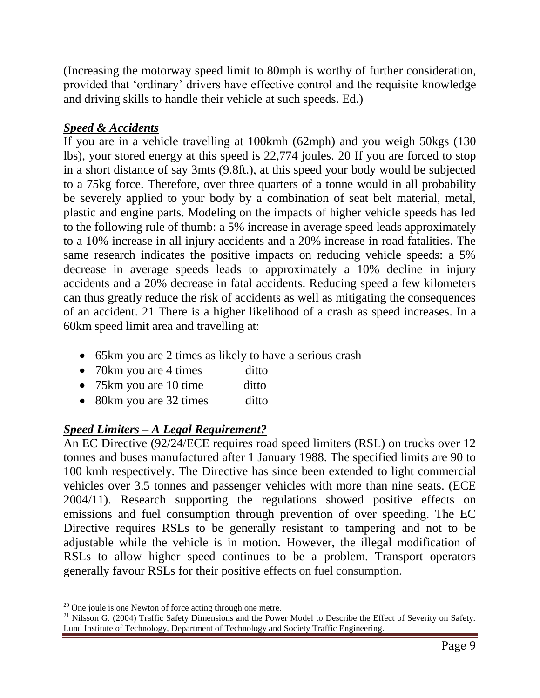(Increasing the motorway speed limit to 80mph is worthy of further consideration, provided that 'ordinary' drivers have effective control and the requisite knowledge and driving skills to handle their vehicle at such speeds. Ed.)

# *Speed & Accidents*

If you are in a vehicle travelling at 100kmh (62mph) and you weigh 50kgs (130 lbs), your stored energy at this speed is 22,774 joules. 20 If you are forced to stop in a short distance of say 3mts (9.8ft.), at this speed your body would be subjected to a 75kg force. Therefore, over three quarters of a tonne would in all probability be severely applied to your body by a combination of seat belt material, metal, plastic and engine parts. Modeling on the impacts of higher vehicle speeds has led to the following rule of thumb: a 5% increase in average speed leads approximately to a 10% increase in all injury accidents and a 20% increase in road fatalities. The same research indicates the positive impacts on reducing vehicle speeds: a 5% decrease in average speeds leads to approximately a 10% decline in injury accidents and a 20% decrease in fatal accidents. Reducing speed a few kilometers can thus greatly reduce the risk of accidents as well as mitigating the consequences of an accident. 21 There is a higher likelihood of a crash as speed increases. In a 60km speed limit area and travelling at:

- 65km you are 2 times as likely to have a serious crash
- 70km you are 4 times ditto
- 75km you are 10 time ditto
- 80km you are 32 times ditto

#### *Speed Limiters – A Legal Requirement?*

An EC Directive (92/24/ECE requires road speed limiters (RSL) on trucks over 12 tonnes and buses manufactured after 1 January 1988. The specified limits are 90 to 100 kmh respectively. The Directive has since been extended to light commercial vehicles over 3.5 tonnes and passenger vehicles with more than nine seats. (ECE 2004/11). Research supporting the regulations showed positive effects on emissions and fuel consumption through prevention of over speeding. The EC Directive requires RSLs to be generally resistant to tampering and not to be adjustable while the vehicle is in motion. However, the illegal modification of RSLs to allow higher speed continues to be a problem. Transport operators generally favour RSLs for their positive effects on fuel consumption.

 $\overline{a}$ <sup>20</sup> One joule is one Newton of force acting through one metre.

 $21$  Nilsson G. (2004) Traffic Safety Dimensions and the Power Model to Describe the Effect of Severity on Safety. Lund Institute of Technology, Department of Technology and Society Traffic Engineering.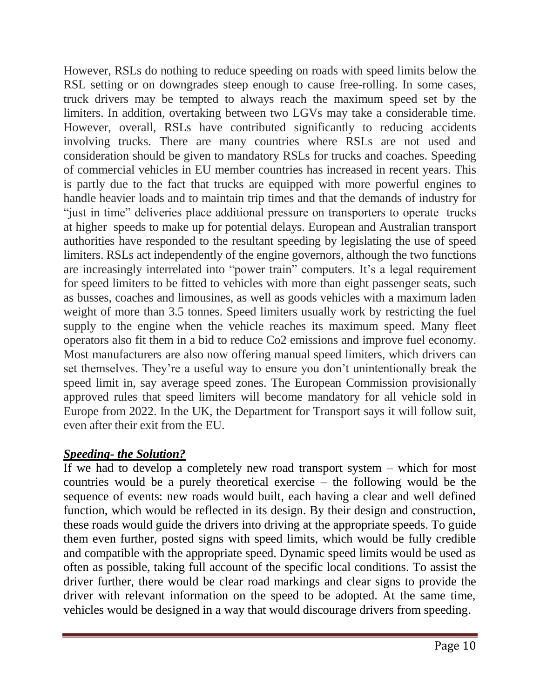However, RSLs do nothing to reduce speeding on roads with speed limits below the RSL setting or on downgrades steep enough to cause free-rolling. In some cases, truck drivers may be tempted to always reach the maximum speed set by the limiters. In addition, overtaking between two LGVs may take a considerable time. However, overall, RSLs have contributed significantly to reducing accidents involving trucks. There are many countries where RSLs are not used and consideration should be given to mandatory RSLs for trucks and coaches. Speeding of commercial vehicles in EU member countries has increased in recent years. This is partly due to the fact that trucks are equipped with more powerful engines to handle heavier loads and to maintain trip times and that the demands of industry for "just in time" deliveries place additional pressure on transporters to operate trucks at higher speeds to make up for potential delays. European and Australian transport authorities have responded to the resultant speeding by legislating the use of speed limiters. RSLs act independently of the engine governors, although the two functions are increasingly interrelated into "power train" computers. It's a legal requirement for speed limiters to be fitted to vehicles with more than eight passenger seats, such as busses, coaches and limousines, as well as goods vehicles with a maximum laden weight of more than 3.5 tonnes. Speed limiters usually work by restricting the fuel supply to the engine when the vehicle reaches its maximum speed. Many fleet operators also fit them in a bid to reduce Co2 emissions and improve fuel economy. Most manufacturers are also now offering manual speed limiters, which drivers can set themselves. They're a useful way to ensure you don't unintentionally break the speed limit in, say average speed zones. The European Commission provisionally approved rules that speed limiters will become mandatory for all vehicle sold in Europe from 2022. In the UK, the Department for Transport says it will follow suit, even after their exit from the EU.

# *Speeding- the Solution?*

If we had to develop a completely new road transport system – which for most countries would be a purely theoretical exercise – the following would be the sequence of events: new roads would built, each having a clear and well defined function, which would be reflected in its design. By their design and construction, these roads would guide the drivers into driving at the appropriate speeds. To guide them even further, posted signs with speed limits, which would be fully credible and compatible with the appropriate speed. Dynamic speed limits would be used as often as possible, taking full account of the specific local conditions. To assist the driver further, there would be clear road markings and clear signs to provide the driver with relevant information on the speed to be adopted. At the same time, vehicles would be designed in a way that would discourage drivers from speeding.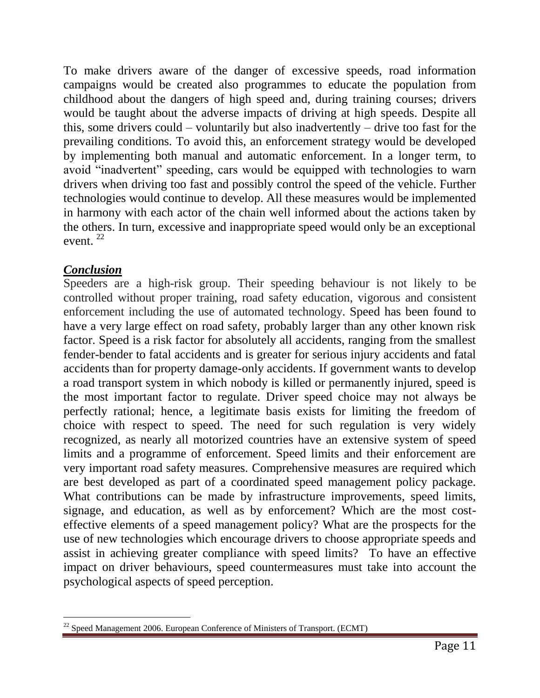To make drivers aware of the danger of excessive speeds, road information campaigns would be created also programmes to educate the population from childhood about the dangers of high speed and, during training courses; drivers would be taught about the adverse impacts of driving at high speeds. Despite all this, some drivers could – voluntarily but also inadvertently – drive too fast for the prevailing conditions. To avoid this, an enforcement strategy would be developed by implementing both manual and automatic enforcement. In a longer term, to avoid "inadvertent" speeding, cars would be equipped with technologies to warn drivers when driving too fast and possibly control the speed of the vehicle. Further technologies would continue to develop. All these measures would be implemented in harmony with each actor of the chain well informed about the actions taken by the others. In turn, excessive and inappropriate speed would only be an exceptional event. <sup>22</sup>

# *Conclusion*

Speeders are a high-risk group. Their speeding behaviour is not likely to be controlled without proper training, road safety education, vigorous and consistent enforcement including the use of automated technology. Speed has been found to have a very large effect on road safety, probably larger than any other known risk factor. Speed is a risk factor for absolutely all accidents, ranging from the smallest fender-bender to fatal accidents and is greater for serious injury accidents and fatal accidents than for property damage-only accidents. If government wants to develop a road transport system in which nobody is killed or permanently injured, speed is the most important factor to regulate. Driver speed choice may not always be perfectly rational; hence, a legitimate basis exists for limiting the freedom of choice with respect to speed. The need for such regulation is very widely recognized, as nearly all motorized countries have an extensive system of speed limits and a programme of enforcement. Speed limits and their enforcement are very important road safety measures. Comprehensive measures are required which are best developed as part of a coordinated speed management policy package. What contributions can be made by infrastructure improvements, speed limits, signage, and education, as well as by enforcement? Which are the most costeffective elements of a speed management policy? What are the prospects for the use of new technologies which encourage drivers to choose appropriate speeds and assist in achieving greater compliance with speed limits? To have an effective impact on driver behaviours, speed countermeasures must take into account the psychological aspects of speed perception.

l  $^{22}$  Speed Management 2006. European Conference of Ministers of Transport. (ECMT)